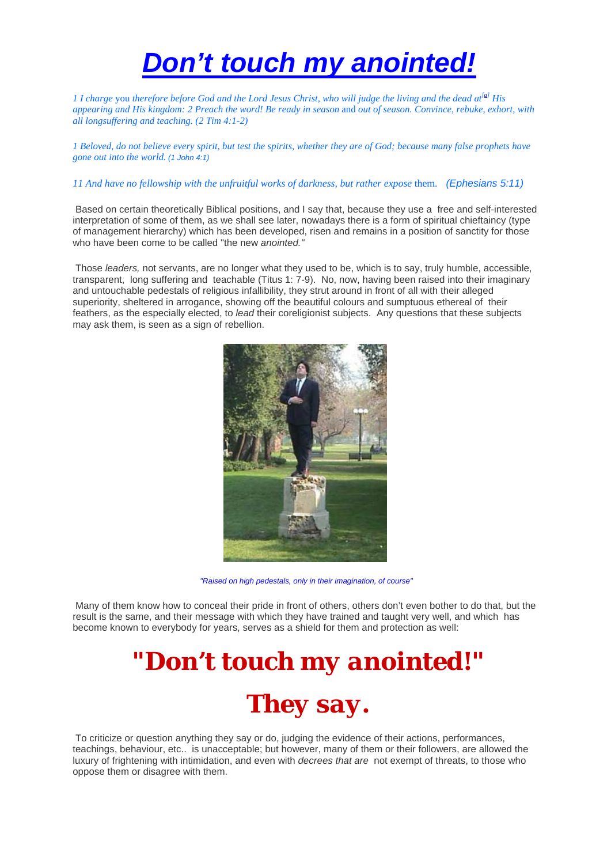# *Don't touch my anointed!*

*1 I charge you therefore before God and the Lord Jesus Christ, who will judge the living and the dead at<sup>[[a\]](http://www.biblegateway.com/passage/?book_id=62&chapter=4&version=50#fen-NKJV-29866a#fen-NKJV-29866a)</sup> His appearing and His kingdom: 2 Preach the word! Be ready in season* and *out of season. Convince, rebuke, exhort, with all longsuffering and teaching. (2 Tim 4:1-2)* 

*1 Beloved, do not believe every spirit, but test the spirits, whether they are of God; because many false prophets have gone out into the world. (1 John 4:1)* 

#### *11 And have no fellowship with the unfruitful works of darkness, but rather expose* them. *(Ephesians 5:11)*

 Based on certain theoretically Biblical positions, and I say that, because they use a free and self-interested interpretation of some of them, as we shall see later, nowadays there is a form of spiritual chieftaincy (type of management hierarchy) which has been developed, risen and remains in a position of sanctity for those who have been come to be called "the new *anointed."*

 Those *leaders,* not servants, are no longer what they used to be, which is to say, truly humble, accessible, transparent, long suffering and teachable (Titus 1: 7-9). No, now, having been raised into their imaginary and untouchable pedestals of religious infallibility, they strut around in front of all with their alleged superiority, sheltered in arrogance, showing off the beautiful colours and sumptuous ethereal of their feathers, as the especially elected, to *lead* their coreligionist subjects. Any questions that these subjects may ask them, is seen as a sign of rebellion.



*"Raised on high pedestals, only in their imagination, of course"*

 Many of them know how to conceal their pride in front of others, others don't even bother to do that, but the result is the same, and their message with which they have trained and taught very well, and which has become known to everybody for years, serves as a shield for them and protection as well:

> *"Don't touch my anointed!" They say.*

 To criticize or question anything they say or do, judging the evidence of their actions, performances, teachings, behaviour, etc.. is unacceptable; but however, many of them or their followers, are allowed the luxury of frightening with intimidation, and even with *decrees that are* not exempt of threats, to those who oppose them or disagree with them.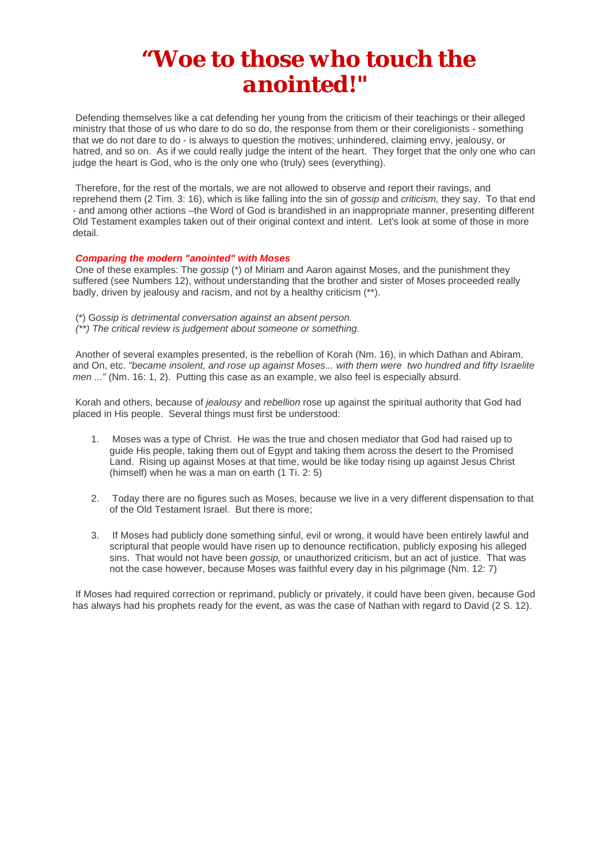# *"Woe to those who touch the anointed!"*

 Defending themselves like a cat defending her young from the criticism of their teachings or their alleged ministry that those of us who dare to do so do, the response from them or their coreligionists - something that we do not dare to do - is always to question the motives; unhindered, claiming envy, jealousy, or hatred, and so on. As if we could really judge the intent of the heart. They forget that the only one who can judge the heart is God, who is the only one who (truly) sees (everything).

 Therefore, for the rest of the mortals, we are not allowed to observe and report their ravings, and reprehend them (2 Tim. 3: 16), which is like falling into the sin of *gossip* and *criticism,* they say. To that end - and among other actions –the Word of God is brandished in an inappropriate manner, presenting different Old Testament examples taken out of their original context and intent. Let's look at some of those in more detail.

### *Comparing the modern "anointed" with Moses*

 One of these examples: The *gossip* (\*) of Miriam and Aaron against Moses, and the punishment they suffered (see Numbers 12), without understanding that the brother and sister of Moses proceeded really badly, driven by jealousy and racism, and not by a healthy criticism (\*\*).

 (\*) G*ossip is detrimental conversation against an absent person. (\*\*) The critical review is judgement about someone or something.*

 Another of several examples presented, is the rebellion of Korah (Nm. 16), in which Dathan and Abiram, and On, etc. *"became insolent, and rose up against Moses... with them were two hundred and fifty Israelite men ..."* (Nm. 16: 1, 2). Putting this case as an example, we also feel is especially absurd.

 Korah and others, because of *jealousy* and *rebellion* rose up against the spiritual authority that God had placed in His people. Several things must first be understood:

- 1. Moses was a type of Christ. He was the true and chosen mediator that God had raised up to guide His people, taking them out of Egypt and taking them across the desert to the Promised Land. Rising up against Moses at that time, would be like today rising up against Jesus Christ (himself) when he was a man on earth (1 Ti. 2: 5)
- 2. Today there are no figures such as Moses, because we live in a very different dispensation to that of the Old Testament Israel. But there is more;
- 3. If Moses had publicly done something sinful, evil or wrong, it would have been entirely lawful and scriptural that people would have risen up to denounce rectification, publicly exposing his alleged sins. That would not have been *gossip,* or unauthorized criticism, but an act of justice. That was not the case however, because Moses was faithful every day in his pilgrimage (Nm. 12: 7)

 If Moses had required correction or reprimand, publicly or privately, it could have been given, because God has always had his prophets ready for the event, as was the case of Nathan with regard to David (2 S. 12).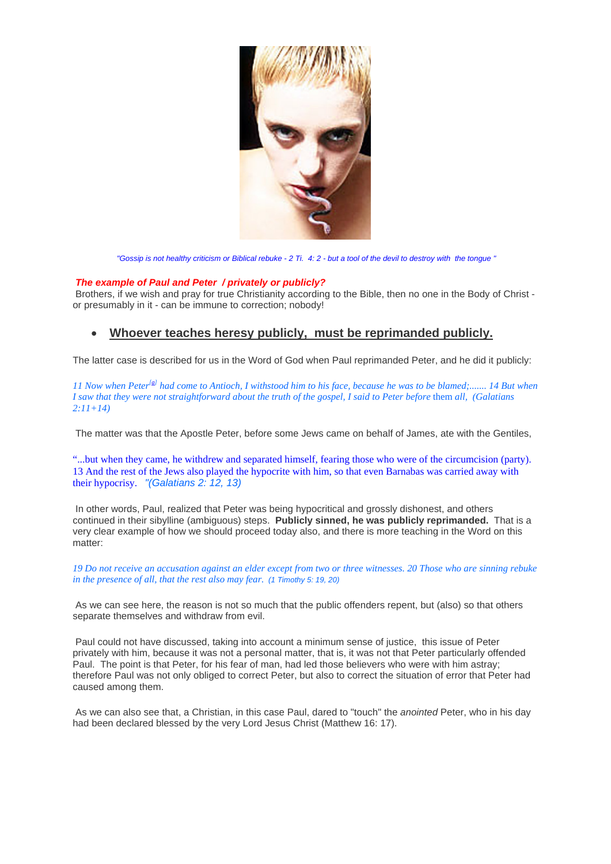

*"Gossip is not healthy criticism or Biblical rebuke - 2 Ti. 4: 2 - but a tool of the devil to destroy with the tongue "*

#### *The example of Paul and Peter / privately or publicly?*

 Brothers, if we wish and pray for true Christianity according to the Bible, then no one in the Body of Christ or presumably in it - can be immune to correction; nobody!

## • **Whoever teaches heresy publicly, must be reprimanded publicly.**

The latter case is described for us in the Word of God when Paul reprimanded Peter, and he did it publicly:

11 Now when Peter<sup>[[a\]](http://www.biblegateway.com/passage/?search=GAL%202:11-21&version=50;#fen-NKJV-29087a#fen-NKJV-29087a)</sup> had come to Antioch, I withstood him to his face, because he was to be blamed;....... 14 But when *I saw that they were not straightforward about the truth of the gospel, I said to Peter before* them *all, (Galatians 2:11+14)*

The matter was that the Apostle Peter, before some Jews came on behalf of James, ate with the Gentiles,

"...but when they came, he withdrew and separated himself, fearing those who were of the circumcision (party). 13 And the rest of the Jews also played the hypocrite with him, so that even Barnabas was carried away with their hypocrisy. *"(Galatians 2: 12, 13)*

 In other words, Paul, realized that Peter was being hypocritical and grossly dishonest, and others continued in their sibylline (ambiguous) steps. **Publicly sinned, he was publicly reprimanded.** That is a very clear example of how we should proceed today also, and there is more teaching in the Word on this matter:

*19 Do not receive an accusation against an elder except from two or three witnesses. 20 Those who are sinning rebuke in the presence of all, that the rest also may fear. (1 Timothy 5: 19, 20)* 

 As we can see here, the reason is not so much that the public offenders repent, but (also) so that others separate themselves and withdraw from evil.

 Paul could not have discussed, taking into account a minimum sense of justice, this issue of Peter privately with him, because it was not a personal matter, that is, it was not that Peter particularly offended Paul. The point is that Peter, for his fear of man, had led those believers who were with him astray; therefore Paul was not only obliged to correct Peter, but also to correct the situation of error that Peter had caused among them.

 As we can also see that, a Christian, in this case Paul, dared to "touch" the *anointed* Peter, who in his day had been declared blessed by the very Lord Jesus Christ (Matthew 16: 17).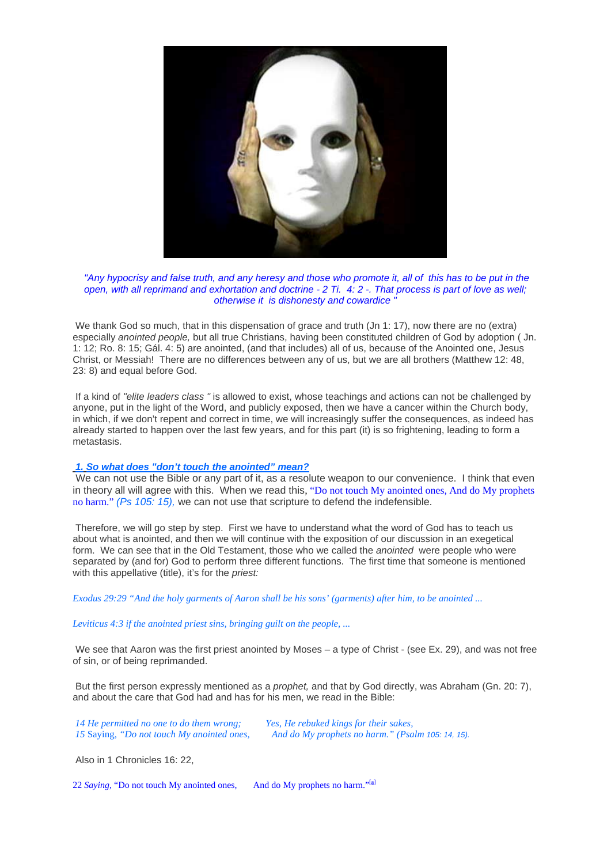

*"Any hypocrisy and false truth, and any heresy and those who promote it, all of this has to be put in the open, with all reprimand and exhortation and doctrine - 2 Ti. 4: 2 -. That process is part of love as well; otherwise it is dishonesty and cowardice "*

We thank God so much, that in this dispensation of grace and truth (Jn 1: 17), now there are no (extra) especially *anointed people,* but all true Christians, having been constituted children of God by adoption ( Jn. 1: 12; Ro. 8: 15; Gál. 4: 5) are anointed, (and that includes) all of us, because of the Anointed one, Jesus Christ, or Messiah! There are no differences between any of us, but we are all brothers (Matthew 12: 48, 23: 8) and equal before God.

 If a kind of *"elite leaders class "* is allowed to exist, whose teachings and actions can not be challenged by anyone, put in the light of the Word, and publicly exposed, then we have a cancer within the Church body, in which, if we don't repent and correct in time, we will increasingly suffer the consequences, as indeed has already started to happen over the last few years, and for this part (it) is so frightening, leading to form a metastasis.

#### *1. So what does "don't touch the anointed" mean?*

We can not use the Bible or any part of it, as a resolute weapon to our convenience. I think that even in theory all will agree with this. When we read this*,* "Do not touch My anointed ones, And do My prophets no harm." *(Ps 105: 15),* we can not use that scripture to defend the indefensible.

 Therefore, we will go step by step. First we have to understand what the word of God has to teach us about what is anointed, and then we will continue with the exposition of our discussion in an exegetical form. We can see that in the Old Testament, those who we called the *anointed* were people who were separated by (and for) God to perform three different functions. The first time that someone is mentioned with this appellative (title), it's for the *priest:*

*Exodus 29:29 "And the holy garments of Aaron shall be his sons' (garments) after him, to be anointed ...*

*Leviticus 4:3 if the anointed priest sins, bringing guilt on the people, ...*

We see that Aaron was the first priest anointed by Moses – a type of Christ - (see Ex. 29), and was not free of sin, or of being reprimanded.

 But the first person expressly mentioned as a *prophet,* and that by God directly, was Abraham (Gn. 20: 7), and about the care that God had and has for his men, we read in the Bible:

| 14 He permitted no one to do them wrong;   | Yes, He rebuked kings for their sakes,            |
|--------------------------------------------|---------------------------------------------------|
| 15 Saying, "Do not touch My anointed ones, | And do My prophets no harm." (Psalm 105: 14, 15). |

Also in 1 Chronicles 16: 22,

22 *S[a](http://www.biblegateway.com/passage/?search=1%20Chron%2016:22;&version=50;#fen-NKJV-10843a#fen-NKJV-10843a)ying*, "Do not touch My anointed ones, And do My prophets no harm."<sup>[a]</sup>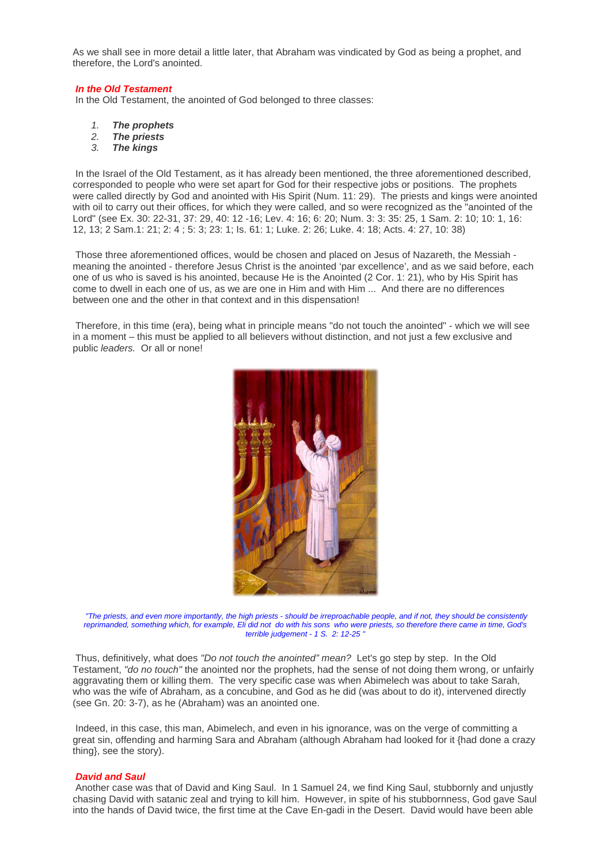As we shall see in more detail a little later, that Abraham was vindicated by God as being a prophet, and therefore, the Lord's anointed.

#### *In the Old Testament*

In the Old Testament, the anointed of God belonged to three classes:

- *1. The prophets*
- *2. The priests*
- *3. The kings*

 In the Israel of the Old Testament, as it has already been mentioned, the three aforementioned described, corresponded to people who were set apart for God for their respective jobs or positions. The prophets were called directly by God and anointed with His Spirit (Num. 11: 29). The priests and kings were anointed with oil to carry out their offices, for which they were called, and so were recognized as the "anointed of the Lord" (see Ex. 30: 22-31, 37: 29, 40: 12 -16; Lev. 4: 16; 6: 20; Num. 3: 3: 35: 25, 1 Sam. 2: 10; 10: 1, 16: 12, 13; 2 Sam.1: 21; 2: 4 ; 5: 3; 23: 1; Is. 61: 1; Luke. 2: 26; Luke. 4: 18; Acts. 4: 27, 10: 38)

 Those three aforementioned offices, would be chosen and placed on Jesus of Nazareth, the Messiah meaning the anointed - therefore Jesus Christ is the anointed 'par excellence', and as we said before, each one of us who is saved is his anointed, because He is the Anointed (2 Cor. 1: 21), who by His Spirit has come to dwell in each one of us, as we are one in Him and with Him ... And there are no differences between one and the other in that context and in this dispensation!

 Therefore, in this time (era), being what in principle means "do not touch the anointed" - which we will see in a moment – this must be applied to all believers without distinction, and not just a few exclusive and public *leaders.* Or all or none!



*"The priests, and even more importantly, the high priests - should be irreproachable people, and if not, they should be consistently reprimanded, something which, for example, Eli did not do with his sons who were priests, so therefore there came in time, God's terrible judgement - 1 S. 2: 12-25 "*

 Thus, definitively, what does *"Do not touch the anointed" mean?* Let's go step by step. In the Old Testament, *"do no touch"* the anointed nor the prophets, had the sense of not doing them wrong, or unfairly aggravating them or killing them. The very specific case was when Abimelech was about to take Sarah, who was the wife of Abraham, as a concubine, and God as he did (was about to do it), intervened directly (see Gn. 20: 3-7), as he (Abraham) was an anointed one.

 Indeed, in this case, this man, Abimelech, and even in his ignorance, was on the verge of committing a great sin, offending and harming Sara and Abraham (although Abraham had looked for it {had done a crazy thing}, see the story).

#### *David and Saul*

 Another case was that of David and King Saul. In 1 Samuel 24, we find King Saul, stubbornly and unjustly chasing David with satanic zeal and trying to kill him. However, in spite of his stubbornness, God gave Saul into the hands of David twice, the first time at the Cave En-gadi in the Desert. David would have been able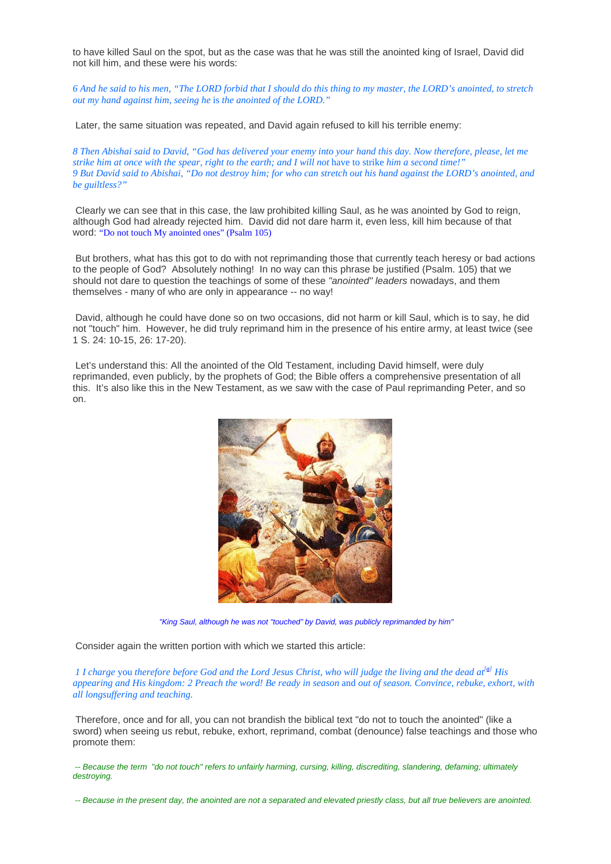to have killed Saul on the spot, but as the case was that he was still the anointed king of Israel, David did not kill him, and these were his words:

*6 And he said to his men, "The LORD forbid that I should do this thing to my master, the LORD's anointed, to stretch out my hand against him, seeing he* is *the anointed of the LORD."*

Later, the same situation was repeated, and David again refused to kill his terrible enemy:

*8 Then Abishai said to David, "God has delivered your enemy into your hand this day. Now therefore, please, let me strike him at once with the spear, right to the earth; and I will not have to strike him a second time!*" *9 But David said to Abishai, "Do not destroy him; for who can stretch out his hand against the LORD's anointed, and be guiltless?"*

 Clearly we can see that in this case, the law prohibited killing Saul, as he was anointed by God to reign, although God had already rejected him. David did not dare harm it, even less, kill him because of that word: "Do not touch My anointed ones" (Psalm 105)

 But brothers, what has this got to do with not reprimanding those that currently teach heresy or bad actions to the people of God? Absolutely nothing! In no way can this phrase be justified (Psalm. 105) that we should not dare to question the teachings of some of these *"anointed" leaders* nowadays, and them themselves - many of who are only in appearance -- no way!

 David, although he could have done so on two occasions, did not harm or kill Saul, which is to say, he did not "touch" him. However, he did truly reprimand him in the presence of his entire army, at least twice (see 1 S. 24: 10-15, 26: 17-20).

 Let's understand this: All the anointed of the Old Testament, including David himself, were duly reprimanded, even publicly, by the prophets of God; the Bible offers a comprehensive presentation of all this. It's also like this in the New Testament, as we saw with the case of Paul reprimanding Peter, and so on.



*"King Saul, although he was not "touched" by David, was publicly reprimanded by him"*

Consider again the written portion with which we started this article:

*1 I charge you therefore before God and the Lord Jesus Christ, who will judge the living and the dead at<sup>[\[a](http://www.biblegateway.com/passage/?search=2%20tim%204:1-2%20;&version=50;#fen-NKJV-29866a#fen-NKJV-29866a)]</sup> His appearing and His kingdom: 2 Preach the word! Be ready in season* and *out of season. Convince, rebuke, exhort, with all longsuffering and teaching.*

 Therefore, once and for all, you can not brandish the biblical text "do not to touch the anointed" (like a sword) when seeing us rebut, rebuke, exhort, reprimand, combat (denounce) false teachings and those who promote them:

 *-- Because the term "do not touch" refers to unfairly harming, cursing, killing, discrediting, slandering, defaming; ultimately destroying.* 

 *-- Because in the present day, the anointed are not a separated and elevated priestly class, but all true believers are anointed.*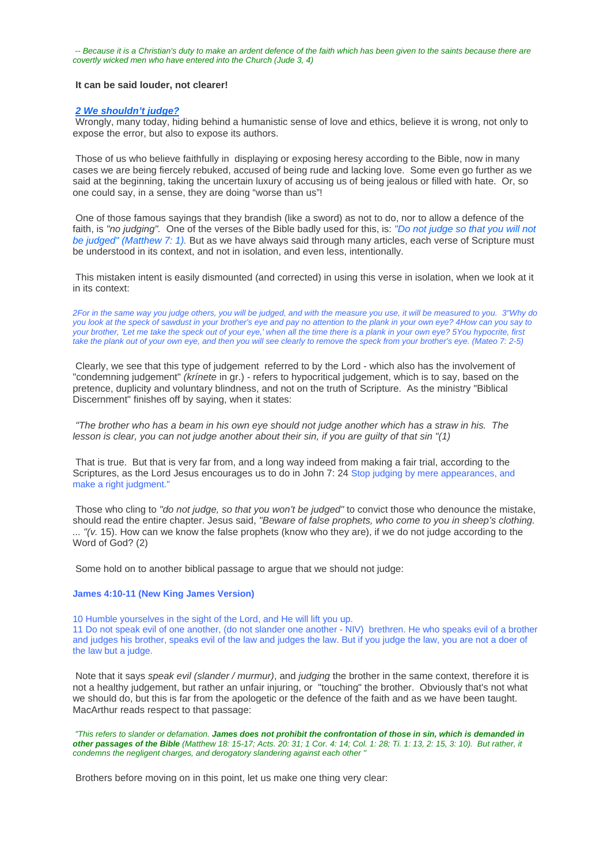*-- Because it is a Christian's duty to make an ardent defence of the faith which has been given to the saints because there are covertly wicked men who have entered into the Church (Jude 3, 4)* 

#### **It can be said louder, not clearer!**

#### *2 We shouldn't judge?*

 Wrongly, many today, hiding behind a humanistic sense of love and ethics, believe it is wrong, not only to expose the error, but also to expose its authors.

 Those of us who believe faithfully in displaying or exposing heresy according to the Bible, now in many cases we are being fiercely rebuked, accused of being rude and lacking love. Some even go further as we said at the beginning, taking the uncertain luxury of accusing us of being jealous or filled with hate. Or, so one could say, in a sense, they are doing "worse than us"!

 One of those famous sayings that they brandish (like a sword) as not to do, nor to allow a defence of the faith, is *"no judging".* One of the verses of the Bible badly used for this, is: *"Do not judge so that you will not be judged" (Matthew 7: 1).* But as we have always said through many articles, each verse of Scripture must be understood in its context, and not in isolation, and even less, intentionally.

 This mistaken intent is easily dismounted (and corrected) in using this verse in isolation, when we look at it in its context:

*2For in the same way you judge others, you will be judged, and with the measure you use, it will be measured to you. 3"Why do you look at the speck of sawdust in your brother's eye and pay no attention to the plank in your own eye? 4How can you say to your brother, 'Let me take the speck out of your eye,' when all the time there is a plank in your own eye? 5You hypocrite, first take the plank out of your own eye, and then you will see clearly to remove the speck from your brother's eye. (Mateo 7: 2-5)* 

 Clearly, we see that this type of judgement referred to by the Lord - which also has the involvement of "condemning judgement" *(krínete* in gr.) - refers to hypocritical judgement, which is to say, based on the pretence, duplicity and voluntary blindness, and not on the truth of Scripture. As the ministry "Biblical Discernment" finishes off by saying, when it states:

*"The brother who has a beam in his own eye should not judge another which has a straw in his. The lesson is clear, you can not judge another about their sin, if you are guilty of that sin "(1)*

 That is true. But that is very far from, and a long way indeed from making a fair trial, according to the Scriptures, as the Lord Jesus encourages us to do in John 7: 24 Stop judging by mere appearances, and make a right judgment."

 Those who cling to *"do not judge, so that you won't be judged"* to convict those who denounce the mistake, should read the entire chapter. Jesus said, *"Beware of false prophets, who come to you in sheep's clothing. ... "(v.* 15). How can we know the false prophets (know who they are), if we do not judge according to the Word of God? (2)

Some hold on to another biblical passage to argue that we should not judge:

#### **James 4:10-11 (New King James Version)**

10 Humble yourselves in the sight of the Lord, and He will lift you up. 11 Do not speak evil of one another, (do not slander one another - NIV) brethren. He who speaks evil of a brother and judges his brother, speaks evil of the law and judges the law. But if you judge the law, you are not a doer of the law but a judge.

 Note that it says *speak evil (slander / murmur)*, and *judging* the brother in the same context, therefore it is not a healthy judgement, but rather an unfair injuring, or "touching" the brother. Obviously that's not what we should do, but this is far from the apologetic or the defence of the faith and as we have been taught. MacArthur reads respect to that passage:

 *"This refers to slander or defamation. James does not prohibit the confrontation of those in sin, which is demanded in other passages of the Bible (Matthew 18: 15-17; Acts. 20: 31; 1 Cor. 4: 14; Col. 1: 28; Ti. 1: 13, 2: 15, 3: 10). But rather, it condemns the negligent charges, and derogatory slandering against each other "* 

Brothers before moving on in this point, let us make one thing very clear: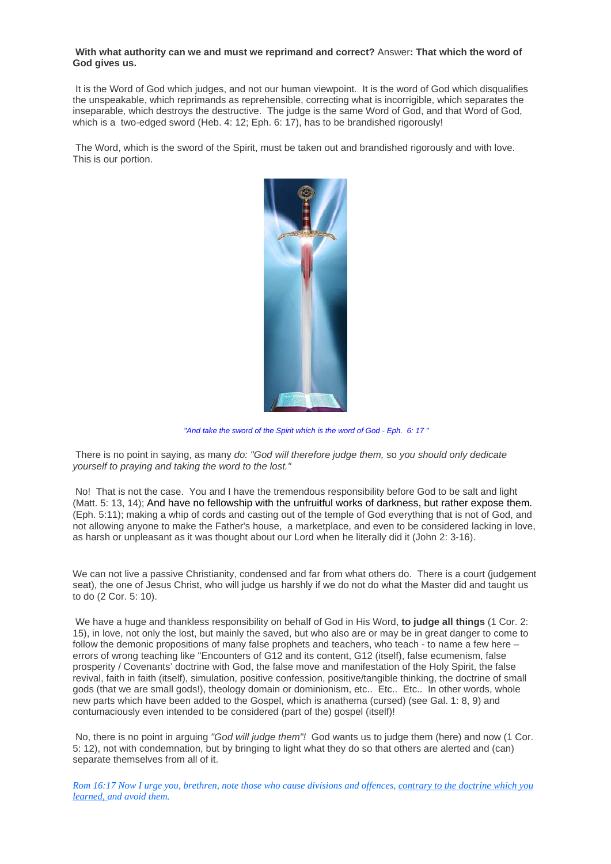#### **With what authority can we and must we reprimand and correct?** Answer**: That which the word of God gives us.**

 It is the Word of God which judges, and not our human viewpoint. It is the word of God which disqualifies the unspeakable, which reprimands as reprehensible, correcting what is incorrigible, which separates the inseparable, which destroys the destructive. The judge is the same Word of God, and that Word of God, which is a two-edged sword (Heb. 4: 12: Eph. 6: 17), has to be brandished rigorously!

 The Word, which is the sword of the Spirit, must be taken out and brandished rigorously and with love. This is our portion.



*"And take the sword of the Spirit which is the word of God - Eph. 6: 17 "*

 There is no point in saying, as many *do: "God will therefore judge them,* so *you should only dedicate yourself to praying and taking the word to the lost."*

 No! That is not the case. You and I have the tremendous responsibility before God to be salt and light (Matt. 5: 13, 14); And have no fellowship with the unfruitful works of darkness, but rather expose them*.* (Eph. 5:11); making a whip of cords and casting out of the temple of God everything that is not of God, and not allowing anyone to make the Father's house, a marketplace, and even to be considered lacking in love, as harsh or unpleasant as it was thought about our Lord when he literally did it (John 2: 3-16).

We can not live a passive Christianity, condensed and far from what others do. There is a court (judgement seat), the one of Jesus Christ, who will judge us harshly if we do not do what the Master did and taught us to do (2 Cor. 5: 10).

 We have a huge and thankless responsibility on behalf of God in His Word, **to judge all things** (1 Cor. 2: 15), in love, not only the lost, but mainly the saved, but who also are or may be in great danger to come to follow the demonic propositions of many false prophets and teachers, who teach - to name a few here – errors of wrong teaching like "Encounters of G12 and its content, G12 (itself), false ecumenism, false prosperity / Covenants' doctrine with God, the false move and manifestation of the Holy Spirit, the false revival, faith in faith (itself), simulation, positive confession, positive/tangible thinking, the doctrine of small gods (that we are small gods!), theology domain or dominionism, etc.. Etc.. Etc.. In other words, whole new parts which have been added to the Gospel, which is anathema (cursed) (see Gal. 1: 8, 9) and contumaciously even intended to be considered (part of the) gospel (itself)!

 No, there is no point in arguing *"God will judge them"!* God wants us to judge them (here) and now (1 Cor. 5: 12), not with condemnation, but by bringing to light what they do so that others are alerted and (can) separate themselves from all of it.

*Rom 16:17 Now I urge you, brethren, note those who cause divisions and offences, contrary to the doctrine which you learned, and avoid them.*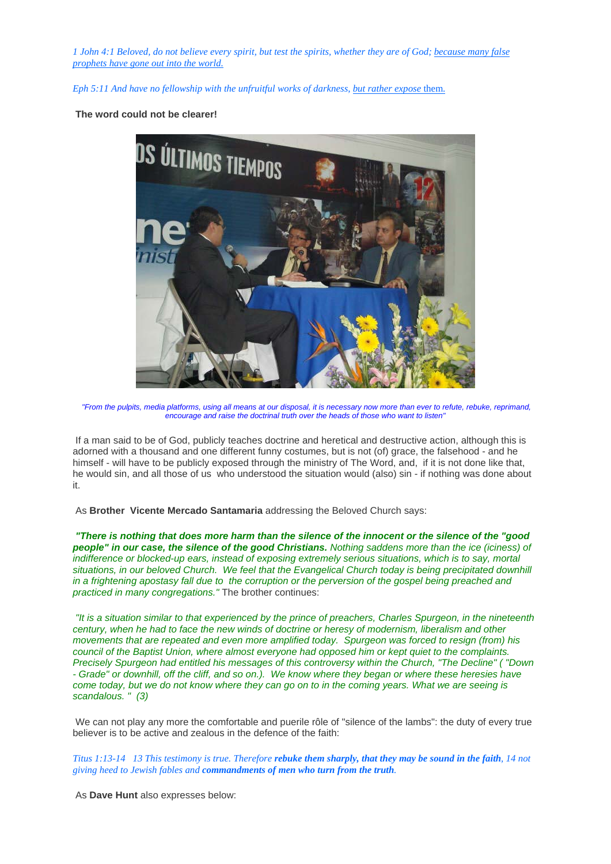*1 John 4:1 Beloved, do not believe every spirit, but test the spirits, whether they are of God; because many false prophets have gone out into the world.*

*Eph 5:11 And have no fellowship with the unfruitful works of darkness, but rather expose* them.

#### **The word could not be clearer!**



*"From the pulpits, media platforms, using all means at our disposal, it is necessary now more than ever to refute, rebuke, reprimand, encourage and raise the doctrinal truth over the heads of those who want to listen"*

 If a man said to be of God, publicly teaches doctrine and heretical and destructive action, although this is adorned with a thousand and one different funny costumes, but is not (of) grace, the falsehood - and he himself - will have to be publicly exposed through the ministry of The Word, and, if it is not done like that, he would sin, and all those of us who understood the situation would (also) sin - if nothing was done about it.

As **Brother Vicente Mercado Santamaria** addressing the Beloved Church says:

*"There is nothing that does more harm than the silence of the innocent or the silence of the "good people" in our case, the silence of the good Christians. Nothing saddens more than the ice (iciness) of indifference or blocked-up ears, instead of exposing extremely serious situations, which is to say, mortal situations, in our beloved Church. We feel that the Evangelical Church today is being precipitated downhill in a frightening apostasy fall due to the corruption or the perversion of the gospel being preached and practiced in many congregations."* The brother continues:

*"It is a situation similar to that experienced by the prince of preachers, Charles Spurgeon, in the nineteenth century, when he had to face the new winds of doctrine or heresy of modernism, liberalism and other movements that are repeated and even more amplified today. Spurgeon was forced to resign (from) his council of the Baptist Union, where almost everyone had opposed him or kept quiet to the complaints. Precisely Spurgeon had entitled his messages of this controversy within the Church, "The Decline" ( "Down - Grade" or downhill, off the cliff, and so on.). We know where they began or where these heresies have come today, but we do not know where they can go on to in the coming years. What we are seeing is scandalous. " (3)*

 We can not play any more the comfortable and puerile rôle of "silence of the lambs": the duty of every true believer is to be active and zealous in the defence of the faith:

*Titus 1:13-14 13 This testimony is true. Therefore rebuke them sharply, that they may be sound in the faith, 14 not giving heed to Jewish fables and commandments of men who turn from the truth.*

As **Dave Hunt** also expresses below: